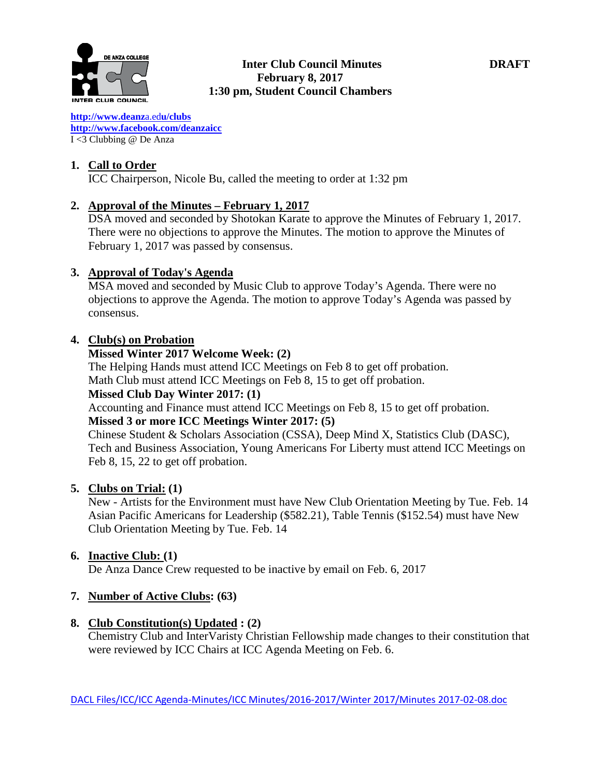

**[http://www.deanz](http://www.deanza.edu/clubs)**[a.ed](http://www.deanza.edu/clubs)**[u/clubs](http://www.deanza.edu/clubs) [http://www.facebook.com/deanzaicc](http://www.facebook.com/home.php#!/group.php?gid=59034552686)** I <3 Clubbing @ De Anza

### **1. Call to Order**

ICC Chairperson, Nicole Bu, called the meeting to order at 1:32 pm

## **2. Approval of the Minutes – February 1, 2017**

DSA moved and seconded by Shotokan Karate to approve the Minutes of February 1, 2017. There were no objections to approve the Minutes. The motion to approve the Minutes of February 1, 2017 was passed by consensus.

## **3. Approval of Today's Agenda**

MSA moved and seconded by Music Club to approve Today's Agenda. There were no objections to approve the Agenda. The motion to approve Today's Agenda was passed by consensus.

### **4. Club(s) on Probation**

#### **Missed Winter 2017 Welcome Week: (2)**

The Helping Hands must attend ICC Meetings on Feb 8 to get off probation. Math Club must attend ICC Meetings on Feb 8, 15 to get off probation.

## **Missed Club Day Winter 2017: (1)**

Accounting and Finance must attend ICC Meetings on Feb 8, 15 to get off probation.

## **Missed 3 or more ICC Meetings Winter 2017: (5)**

Chinese Student & Scholars Association (CSSA), Deep Mind X, Statistics Club (DASC), Tech and Business Association, Young Americans For Liberty must attend ICC Meetings on Feb 8, 15, 22 to get off probation.

### **5. Clubs on Trial: (1)**

New - Artists for the Environment must have New Club Orientation Meeting by Tue. Feb. 14 Asian Pacific Americans for Leadership (\$582.21), Table Tennis (\$152.54) must have New Club Orientation Meeting by Tue. Feb. 14

### **6. Inactive Club: (1)**

De Anza Dance Crew requested to be inactive by email on Feb. 6, 2017

# **7. Number of Active Clubs: (63)**

### **8. Club Constitution(s) Updated : (2)**

Chemistry Club and InterVaristy Christian Fellowship made changes to their constitution that were reviewed by ICC Chairs at ICC Agenda Meeting on Feb. 6.

DACL Files/ICC/ICC Agenda-Minutes/ICC Minutes/2016-2017/Winter 2017/Minutes 2017-02-08.doc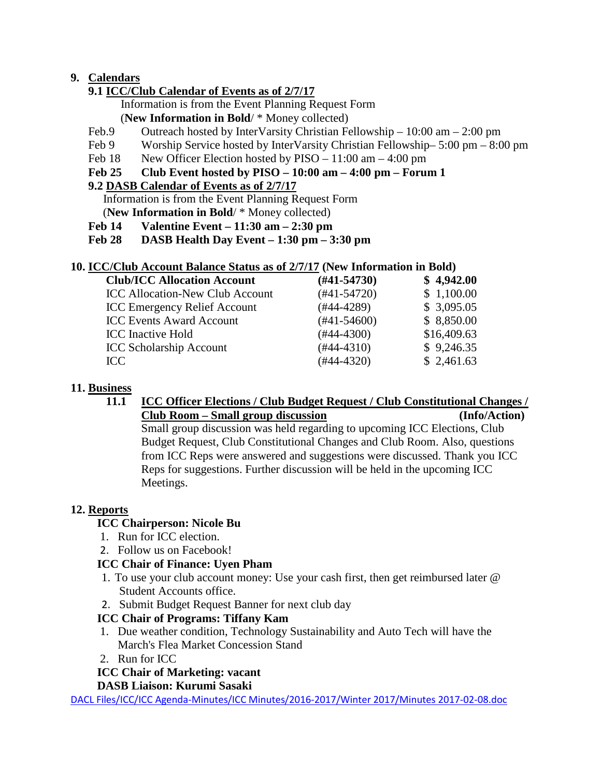# **9. Calendars**

# **9.1 ICC/Club Calendar of Events as of 2/7/17**

 Information is from the Event Planning Request Form (**New Information in Bold**/ \* Money collected)

- Feb.9 Outreach hosted by InterVarsity Christian Fellowship 10:00 am 2:00 pm
- Feb 9 Worship Service hosted by InterVarsity Christian Fellowship– 5:00 pm 8:00 pm
- Feb 18 New Officer Election hosted by PISO 11:00 am 4:00 pm

## **Feb 25 Club Event hosted by PISO – 10:00 am – 4:00 pm – Forum 1**

## **9.2 DASB Calendar of Events as of 2/7/17**

Information is from the Event Planning Request Form

(**New Information in Bold**/ \* Money collected)

- **Feb 14 Valentine Event – 11:30 am – 2:30 pm**
- **Feb 28 DASB Health Day Event – 1:30 pm – 3:30 pm**

# **10. ICC/Club Account Balance Status as of 2/7/17 (New Information in Bold)**

| <b>Club/ICC Allocation Account</b>     | $(\#41 - 54730)$ | \$4,942.00  |
|----------------------------------------|------------------|-------------|
| <b>ICC Allocation-New Club Account</b> | $(#41-54720)$    | \$1,100.00  |
| <b>ICC Emergency Relief Account</b>    | $(#44-4289)$     | \$3,095.05  |
| <b>ICC Events Award Account</b>        | $(#41-54600)$    | \$8,850.00  |
| <b>ICC</b> Inactive Hold               | $(#44-4300)$     | \$16,409.63 |
| <b>ICC Scholarship Account</b>         | $(#44-4310)$     | \$9,246.35  |
| ICC                                    | $(#44-4320)$     | \$2,461.63  |

## **11. Business**

#### **11.1 ICC Officer Elections / Club Budget Request / Club Constitutional Changes / Club Room – Small group discussion (Info/Action)**

Small group discussion was held regarding to upcoming ICC Elections, Club Budget Request, Club Constitutional Changes and Club Room. Also, questions from ICC Reps were answered and suggestions were discussed. Thank you ICC Reps for suggestions. Further discussion will be held in the upcoming ICC Meetings.

# **12. Reports**

# **ICC Chairperson: Nicole Bu**

- 1. Run for ICC election.
- 2. Follow us on Facebook!

### **ICC Chair of Finance: Uyen Pham**

- 1. To use your club account money: Use your cash first, then get reimbursed later @ Student Accounts office.
- 2. Submit Budget Request Banner for next club day

# **ICC Chair of Programs: Tiffany Kam**

- 1. Due weather condition, Technology Sustainability and Auto Tech will have the March's Flea Market Concession Stand
- 2. Run for ICC

# **ICC Chair of Marketing: vacant**

### **DASB Liaison: Kurumi Sasaki**

DACL Files/ICC/ICC Agenda-Minutes/ICC Minutes/2016-2017/Winter 2017/Minutes 2017-02-08.doc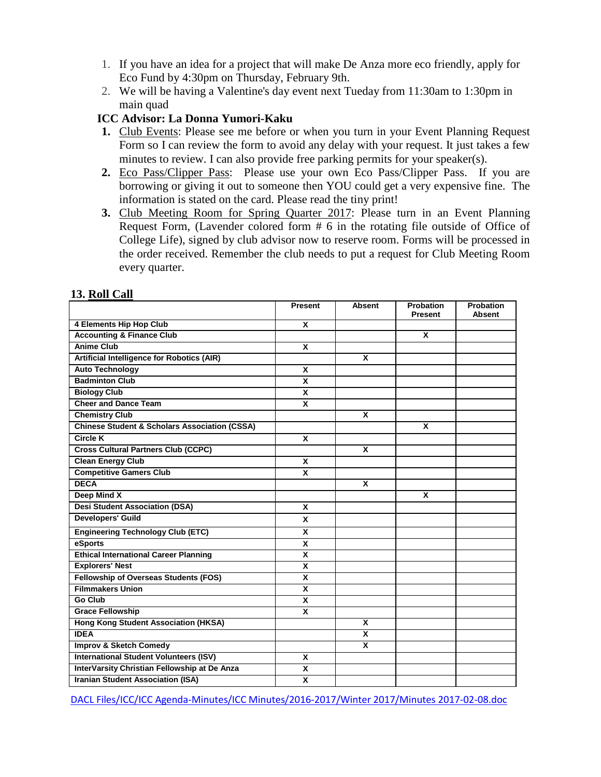- 1. If you have an idea for a project that will make De Anza more eco friendly, apply for Eco Fund by 4:30pm on Thursday, February 9th.
- 2. We will be having a Valentine's day event next Tueday from 11:30am to 1:30pm in main quad

### **ICC Advisor: La Donna Yumori-Kaku**

- **1.** Club Events: Please see me before or when you turn in your Event Planning Request Form so I can review the form to avoid any delay with your request. It just takes a few minutes to review. I can also provide free parking permits for your speaker(s).
- **2.** Eco Pass/Clipper Pass: Please use your own Eco Pass/Clipper Pass. If you are borrowing or giving it out to someone then YOU could get a very expensive fine. The information is stated on the card. Please read the tiny print!
- **3.** Club Meeting Room for Spring Quarter 2017: Please turn in an Event Planning Request Form, (Lavender colored form # 6 in the rotating file outside of Office of College Life), signed by club advisor now to reserve room. Forms will be processed in the order received. Remember the club needs to put a request for Club Meeting Room every quarter.

|                                                          | <b>Present</b>          | <b>Absent</b>           | <b>Probation</b><br><b>Present</b> | <b>Probation</b><br><b>Absent</b> |
|----------------------------------------------------------|-------------------------|-------------------------|------------------------------------|-----------------------------------|
| <b>4 Elements Hip Hop Club</b>                           | X                       |                         |                                    |                                   |
| <b>Accounting &amp; Finance Club</b>                     |                         |                         | $\overline{\mathbf{x}}$            |                                   |
| <b>Anime Club</b>                                        | $\overline{\mathbf{x}}$ |                         |                                    |                                   |
| Artificial Intelligence for Robotics (AIR)               |                         | X                       |                                    |                                   |
| <b>Auto Technology</b>                                   | $\mathbf{x}$            |                         |                                    |                                   |
| <b>Badminton Club</b>                                    | X                       |                         |                                    |                                   |
| <b>Biology Club</b>                                      | X                       |                         |                                    |                                   |
| <b>Cheer and Dance Team</b>                              | X                       |                         |                                    |                                   |
| <b>Chemistry Club</b>                                    |                         | X                       |                                    |                                   |
| <b>Chinese Student &amp; Scholars Association (CSSA)</b> |                         |                         | X                                  |                                   |
| <b>Circle K</b>                                          | X                       |                         |                                    |                                   |
| <b>Cross Cultural Partners Club (CCPC)</b>               |                         | $\overline{\mathbf{x}}$ |                                    |                                   |
| <b>Clean Energy Club</b>                                 | X                       |                         |                                    |                                   |
| <b>Competitive Gamers Club</b>                           | $\overline{\mathbf{x}}$ |                         |                                    |                                   |
| <b>DECA</b>                                              |                         | X                       |                                    |                                   |
| <b>Deep Mind X</b>                                       |                         |                         | X                                  |                                   |
| <b>Desi Student Association (DSA)</b>                    | X                       |                         |                                    |                                   |
| <b>Developers' Guild</b>                                 | X                       |                         |                                    |                                   |
| <b>Engineering Technology Club (ETC)</b>                 | X                       |                         |                                    |                                   |
| eSports                                                  | X                       |                         |                                    |                                   |
| <b>Ethical International Career Planning</b>             | $\overline{\mathbf{x}}$ |                         |                                    |                                   |
| <b>Explorers' Nest</b>                                   | X                       |                         |                                    |                                   |
| <b>Fellowship of Overseas Students (FOS)</b>             | $\overline{\mathbf{x}}$ |                         |                                    |                                   |
| <b>Filmmakers Union</b>                                  | X                       |                         |                                    |                                   |
| <b>Go Club</b>                                           | X                       |                         |                                    |                                   |
| <b>Grace Fellowship</b>                                  | X                       |                         |                                    |                                   |
| Hong Kong Student Association (HKSA)                     |                         | X                       |                                    |                                   |
| <b>IDEA</b>                                              |                         | $\overline{\mathbf{x}}$ |                                    |                                   |
| <b>Improv &amp; Sketch Comedy</b>                        |                         | X                       |                                    |                                   |
| <b>International Student Volunteers (ISV)</b>            | $\mathbf{x}$            |                         |                                    |                                   |
| InterVarsity Christian Fellowship at De Anza             | X                       |                         |                                    |                                   |
| <b>Iranian Student Association (ISA)</b>                 | X                       |                         |                                    |                                   |

#### **13. Roll Call**

DACL Files/ICC/ICC Agenda-Minutes/ICC Minutes/2016-2017/Winter 2017/Minutes 2017-02-08.doc